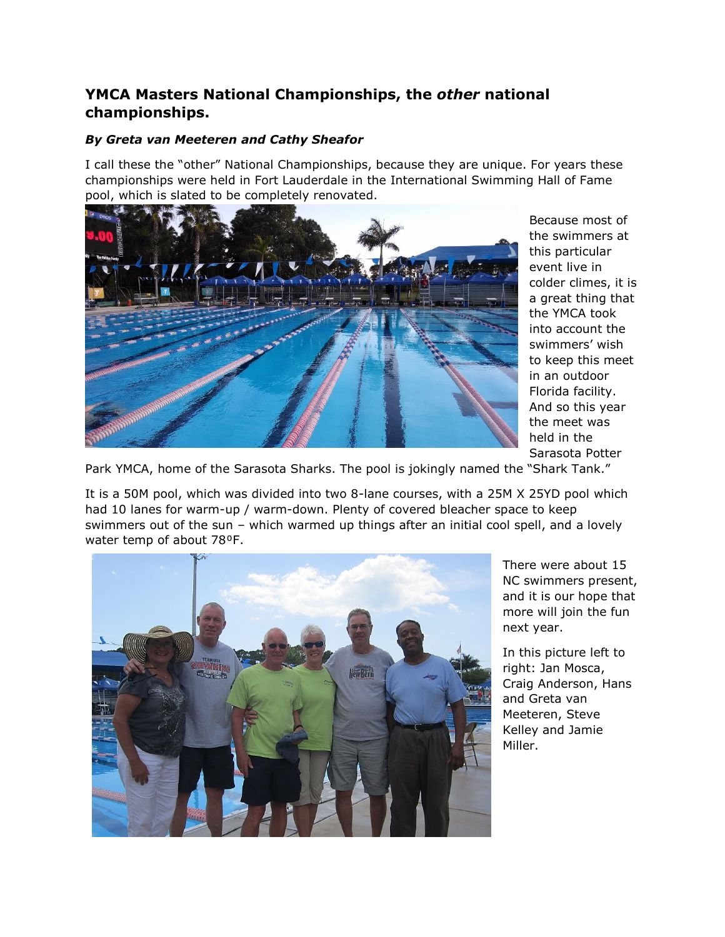## **YMCA Masters National Championships, the** *other* **national championships.**

## *By Greta van Meeteren and Cathy Sheafor*

I call these the "other" National Championships, because they are unique. For years these championships were held in Fort Lauderdale in the International Swimming Hall of Fame pool, which is slated to be completely renovated.



Because most of the swimmers at this particular event live in colder climes, it is a great thing that the YMCA took into account the swimmers' wish to keep this meet in an outdoor Florida facility. And so this year the meet was held in the Sarasota Potter

Park YMCA, home of the Sarasota Sharks. The pool is jokingly named the "Shark Tank."

It is a 50M pool, which was divided into two 8-lane courses, with a 25M X 25YD pool which had 10 lanes for warm-up / warm-down. Plenty of covered bleacher space to keep swimmers out of the sun – which warmed up things after an initial cool spell, and a lovely water temp of about 78°F.



There were about 15 NC swimmers present, and it is our hope that more will join the fun next year.

In this picture left to right: Jan Mosca, Craig Anderson, Hans and Greta van Meeteren, Steve Kelley and Jamie Miller.